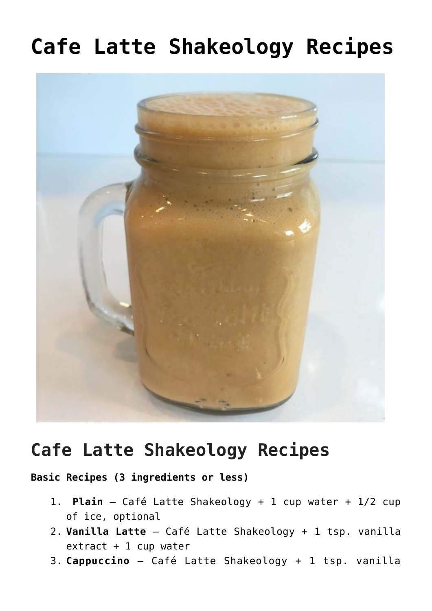## **[Cafe Latte Shakeology Recipes](https://alethiatruefit.com/recipes/shakeology/recipes-cafe-latte-shakeology/)**



## **Cafe Latte Shakeology Recipes**

**Basic Recipes (3 ingredients or less)**

- 1. **Plain** Café Latte Shakeology + 1 cup water + 1/2 cup of ice, optional
- 2. **Vanilla Latte** Café Latte Shakeology + 1 tsp. vanilla extract + 1 cup water
- 3. **Cappuccino** Café Latte Shakeology + 1 tsp. vanilla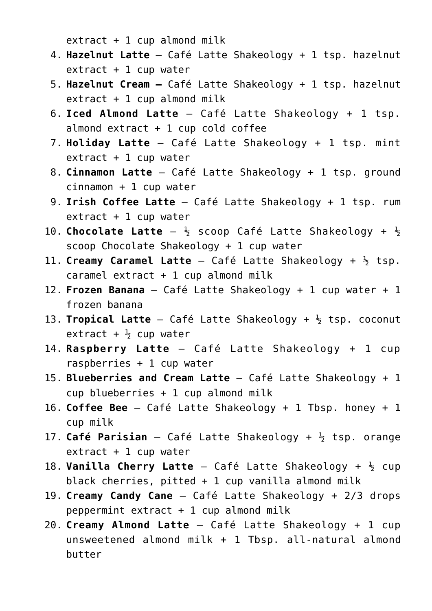$extract + 1 cup$ almond milk

- 4. **Hazelnut Latte** Café Latte Shakeology + 1 tsp. hazelnut extract + 1 cup water
- 5. **Hazelnut Cream** Café Latte Shakeology + 1 tsp. hazelnut extract + 1 cup almond milk
- 6. **Iced Almond Latte** Café Latte Shakeology + 1 tsp. almond  $ext{rat} + 1$  cup cold coffee
- 7. **Holiday Latte** Café Latte Shakeology + 1 tsp. mint  $extract + 1 cup water$
- 8. **Cinnamon Latte** Café Latte Shakeology + 1 tsp. ground cinnamon + 1 cup water
- 9. **Irish Coffee Latte** Café Latte Shakeology + 1 tsp. rum  $extract + 1 cup water$
- 10. **Chocolate Latte**  $-\frac{1}{2}$  scoop Café Latte Shakeology +  $\frac{1}{2}$ scoop Chocolate Shakeology + 1 cup water
- 11. **Creamy Caramel Latte** Café Latte Shakeology + ½ tsp.  $c$ aramel extract  $+1$  cup almond milk
- 12. **Frozen Banana** Café Latte Shakeology + 1 cup water + 1 frozen banana
- 13. **Tropical Latte** Café Latte Shakeology + ½ tsp. coconut extract +  $\frac{1}{2}$  cup water
- 14. **Raspberry Latte** Café Latte Shakeology + 1 cup raspberries + 1 cup water
- 15. **Blueberries and Cream Latte** Café Latte Shakeology + 1 cup blueberries + 1 cup almond milk
- 16. **Coffee Bee** Café Latte Shakeology + 1 Tbsp. honey + 1 cup milk
- 17. **Café Parisian**  Café Latte Shakeology + ½ tsp. orange  $extract + 1 cup water$
- 18. **Vanilla Cherry Latte** Café Latte Shakeology + ½ cup black cherries, pitted  $+ 1$  cup vanilla almond milk
- 19. **Creamy Candy Cane** Café Latte Shakeology + 2/3 drops peppermint extract  $+ 1$  cup almond milk
- 20. **Creamy Almond Latte** Café Latte Shakeology + 1 cup unsweetened almond milk + 1 Tbsp. all-natural almond butter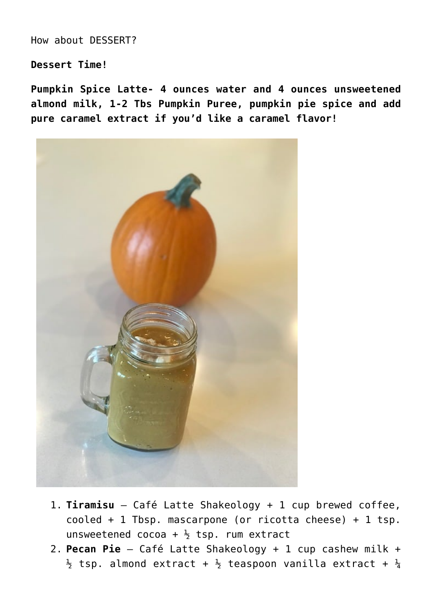How about DESSERT?

**Dessert Time!**

**Pumpkin Spice Latte- 4 ounces water and 4 ounces unsweetened almond milk, 1-2 Tbs Pumpkin Puree, pumpkin pie spice and add pure caramel extract if you'd like a caramel flavor!** 



- 1. **Tiramisu** Café Latte Shakeology + 1 cup brewed coffee, cooled + 1 Tbsp. mascarpone (or ricotta cheese) + 1 tsp. unsweetened cocoa +  $\frac{1}{2}$  tsp. rum extract
- 2. **Pecan Pie** Café Latte Shakeology + 1 cup cashew milk +  $\frac{1}{2}$  tsp. almond extract +  $\frac{1}{2}$  teaspoon vanilla extract +  $\frac{1}{4}$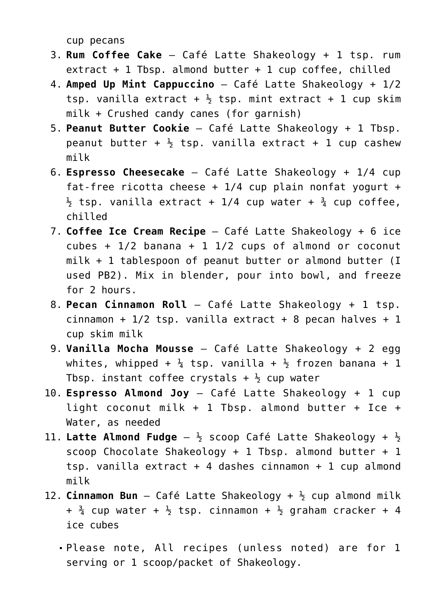cup pecans

- 3. **Rum Coffee Cake** Café Latte Shakeology + 1 tsp. rum extract + 1 Tbsp. almond butter + 1 cup coffee, chilled
- 4. **Amped Up Mint Cappuccino** Café Latte Shakeology + 1/2 tsp. vanilla extract  $+$   $\frac{1}{2}$  tsp. mint extract  $+$  1 cup skim milk + Crushed candy canes (for garnish)
- 5. **Peanut Butter Cookie** Café Latte Shakeology + 1 Tbsp. peanut butter +  $\frac{1}{2}$  tsp. vanilla extract + 1 cup cashew milk
- 6. **Espresso Cheesecake** Café Latte Shakeology + 1/4 cup fat-free ricotta cheese  $+$  1/4 cup plain nonfat yogurt  $+$  $\frac{1}{2}$  tsp. vanilla extract + 1/4 cup water +  $\frac{3}{4}$  cup coffee, chilled
- 7. **Coffee Ice Cream Recipe** Café Latte Shakeology + 6 ice cubes +  $1/2$  banana + 1  $1/2$  cups of almond or coconut milk + 1 tablespoon of peanut butter or almond butter (I used PB2). Mix in blender, pour into bowl, and freeze for 2 hours.
- 8. **Pecan Cinnamon Roll** Café Latte Shakeology + 1 tsp. cinnamon +  $1/2$  tsp. vanilla extract + 8 pecan halves + 1 cup skim milk
- 9. **Vanilla Mocha Mousse** Café Latte Shakeology + 2 egg whites, whipped +  $\frac{1}{4}$  tsp. vanilla +  $\frac{1}{2}$  frozen banana + 1 Tbsp. instant coffee crystals  $+$   $\frac{1}{2}$  cup water
- 10. **Espresso Almond Joy** Café Latte Shakeology + 1 cup light coconut milk + 1 Tbsp. almond butter + Ice + Water, as needed
- 11. Latte Almond Fudge  $-\frac{1}{2}$  scoop Café Latte Shakeology +  $\frac{1}{2}$ scoop Chocolate Shakeology + 1 Tbsp. almond butter + 1 tsp. vanilla extract  $+$  4 dashes cinnamon  $+$  1 cup almond milk
- 12. **Cinnamon Bun** Café Latte Shakeology + ½ cup almond milk  $+$   $\frac{3}{4}$  cup water  $+$   $\frac{1}{2}$  tsp. cinnamon  $+$   $\frac{1}{2}$  graham cracker  $+$  4 ice cubes
	- Please note, All recipes (unless noted) are for 1 serving or 1 scoop/packet of Shakeology.